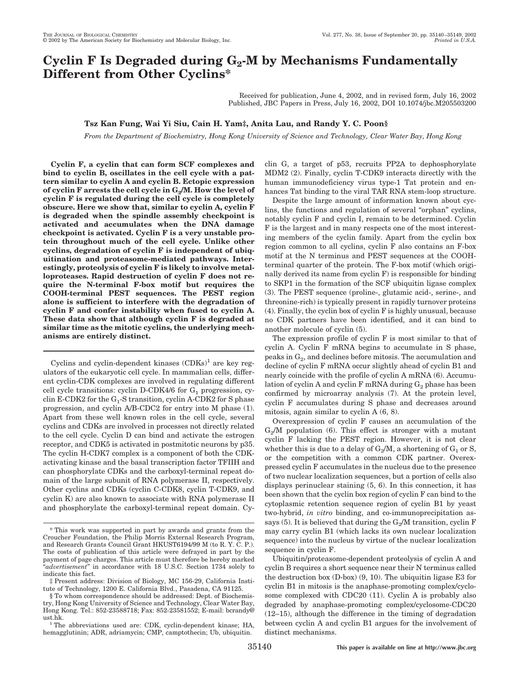# Cyclin F Is Degraded during G<sub>2</sub>-M by Mechanisms Fundamentally **Different from Other Cyclins\***

Received for publication, June 4, 2002, and in revised form, July 16, 2002 Published, JBC Papers in Press, July 16, 2002, DOI 10.1074/jbc.M205503200

## **Tsz Kan Fung, Wai Yi Siu, Cain H. Yam‡, Anita Lau, and Randy Y. C. Poon§**

*From the Department of Biochemistry, Hong Kong University of Science and Technology, Clear Water Bay, Hong Kong*

**Cyclin F, a cyclin that can form SCF complexes and bind to cyclin B, oscillates in the cell cycle with a pattern similar to cyclin A and cyclin B. Ectopic expression** of cyclin F arrests the cell cycle in  $G_2/M$ . How the level of **cyclin F is regulated during the cell cycle is completely obscure. Here we show that, similar to cyclin A, cyclin F is degraded when the spindle assembly checkpoint is activated and accumulates when the DNA damage checkpoint is activated. Cyclin F is a very unstable protein throughout much of the cell cycle. Unlike other cyclins, degradation of cyclin F is independent of ubiquitination and proteasome-mediated pathways. Interestingly, proteolysis of cyclin F is likely to involve metalloproteases. Rapid destruction of cyclin F does not require the N-terminal F-box motif but requires the COOH-terminal PEST sequences. The PEST region alone is sufficient to interfere with the degradation of cyclin F and confer instability when fused to cyclin A. These data show that although cyclin F is degraded at similar time as the mitotic cyclins, the underlying mechanisms are entirely distinct.**

Cyclins and cyclin-dependent kinases  $(CDKs)<sup>1</sup>$  are key regulators of the eukaryotic cell cycle. In mammalian cells, different cyclin-CDK complexes are involved in regulating different cell cycle transitions: cyclin D-CDK4/6 for  $G_1$  progression, cyclin E-CDK2 for the  $G_1$ -S transition, cyclin A-CDK2 for S phase progression, and cyclin A/B-CDC2 for entry into M phase (1). Apart from these well known roles in the cell cycle, several cyclins and CDKs are involved in processes not directly related to the cell cycle. Cyclin D can bind and activate the estrogen receptor, and CDK5 is activated in postmitotic neurons by p35. The cyclin H-CDK7 complex is a component of both the CDKactivating kinase and the basal transcription factor TFIIH and can phosphorylate CDKs and the carboxyl-terminal repeat domain of the large subunit of RNA polymerase II, respectively. Other cyclins and CDKs (cyclin C-CDK8, cyclin T-CDK9, and cyclin K) are also known to associate with RNA polymerase II and phosphorylate the carboxyl-terminal repeat domain. Cyclin G, a target of p53, recruits PP2A to dephosphorylate MDM2 (2). Finally, cyclin T-CDK9 interacts directly with the human immunodeficiency virus type-1 Tat protein and enhances Tat binding to the viral TAR RNA stem-loop structure.

Despite the large amount of information known about cyclins, the functions and regulation of several "orphan" cyclins, notably cyclin F and cyclin I, remain to be determined. Cyclin F is the largest and in many respects one of the most interesting members of the cyclin family. Apart from the cyclin box region common to all cyclins, cyclin F also contains an F-box motif at the N terminus and PEST sequences at the COOHterminal quarter of the protein. The F-box motif (which originally derived its name from cyclin F) is responsible for binding to SKP1 in the formation of the SCF ubiquitin ligase complex (3). The PEST sequence (proline-, glutamic acid-, serine-, and threonine-rich) is typically present in rapidly turnover proteins (4). Finally, the cyclin box of cyclin F is highly unusual, because no CDK partners have been identified, and it can bind to another molecule of cyclin (5).

The expression profile of cyclin F is most similar to that of cyclin A. Cyclin F mRNA begins to accumulate in S phase, peaks in  $G<sub>2</sub>$ , and declines before mitosis. The accumulation and decline of cyclin F mRNA occur slightly ahead of cyclin B1 and nearly coincide with the profile of cyclin A mRNA (6). Accumulation of cyclin A and cyclin F mRNA during  $G_2$  phase has been confirmed by microarray analysis (7). At the protein level, cyclin F accumulates during S phase and decreases around mitosis, again similar to cyclin A (6, 8).

Overexpression of cyclin F causes an accumulation of the  $G<sub>2</sub>/M$  population (6). This effect is stronger with a mutant cyclin F lacking the PEST region. However, it is not clear whether this is due to a delay of  $G_2/M$ , a shortening of  $G_1$  or S, or the competition with a common CDK partner. Overexpressed cyclin F accumulates in the nucleus due to the presence of two nuclear localization sequences, but a portion of cells also displays perinuclear staining (5, 6). In this connection, it has been shown that the cyclin box region of cyclin F can bind to the cytoplasmic retention sequence region of cyclin B1 by yeast two-hybrid, *in vitro* binding, and co-immunoprecipitation assays (5). It is believed that during the  $G_2/M$  transition, cyclin F may carry cyclin B1 (which lacks its own nuclear localization sequence) into the nucleus by virtue of the nuclear localization sequence in cyclin F.

Ubiquitin/proteasome-dependent proteolysis of cyclin A and cyclin B requires a short sequence near their N terminus called the destruction box (D-box) (9, 10). The ubiquitin ligase E3 for cyclin B1 in mitosis is the anaphase-promoting complex/cyclosome complexed with CDC20 (11). Cyclin A is probably also degraded by anaphase-promoting complex/cyclosome-CDC20 (12–15), although the difference in the timing of degradation between cyclin A and cyclin B1 argues for the involvement of distinct mechanisms.

<sup>\*</sup> This work was supported in part by awards and grants from the Croucher Foundation, the Philip Morris External Research Program, and Research Grants Council Grant HKUST6194/99 M (to R. Y. C. P.). The costs of publication of this article were defrayed in part by the payment of page charges. This article must therefore be hereby marked "*advertisement*" in accordance with 18 U.S.C. Section 1734 solely to indicate this fact.

<sup>‡</sup> Present address: Division of Biology, MC 156-29, California Institute of Technology, 1200 E. California Blvd., Pasadena, CA 91125.

<sup>§</sup> To whom correspondence should be addressed: Dept. of Biochemistry, Hong Kong University of Science and Technology, Clear Water Bay, Hong Kong. Tel.: 852-23588718; Fax: 852-23581552; E-mail: bcrandy@

ust.hk. <sup>1</sup> The abbreviations used are: CDK, cyclin-dependent kinase; HA, hemagglutinin; ADR, adriamycin; CMP, camptothecin; Ub, ubiquitin.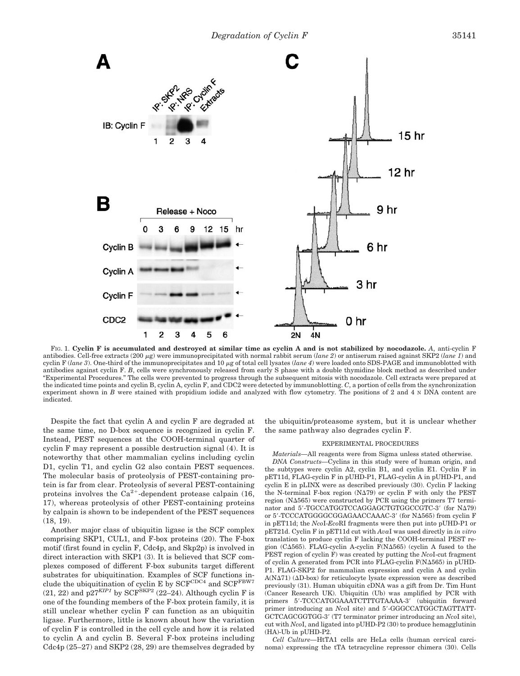

FIG. 1. **Cyclin F is accumulated and destroyed at similar time as cyclin A and is not stabilized by nocodazole.** *A*, anti-cyclin F antibodies. Cell-free extracts (200 µg) were immunoprecipitated with normal rabbit serum (*lane 2*) or antiserum raised against SKP2 (*lane 1*) and cyclin F ( $\langle \text{lane 3} \rangle$ ). One-third of the immunoprecipitates and 10  $\mu$ g of total cell lysates ( $\langle \text{lane 4} \rangle$  were loaded onto SDS-PAGE and immunoblotted with antibodies against cyclin F. *B*, cells were synchronously released from early S phase with a double thymidine block method as described under "Experimental Procedures." The cells were prevented to progress through the subsequent mitosis with nocodazole. Cell extracts were prepared at the indicated time points and cyclin B, cyclin A, cyclin F, and CDC2 were detected by immunoblotting. *C*, a portion of cells from the synchronization experiment shown in *B* were stained with propidium iodide and analyzed with flow cytometry. The positions of 2 and 4 N DNA content are indicated.

Despite the fact that cyclin A and cyclin F are degraded at the same time, no D-box sequence is recognized in cyclin F. Instead, PEST sequences at the COOH-terminal quarter of cyclin F may represent a possible destruction signal (4). It is noteworthy that other mammalian cyclins including cyclin D1, cyclin T1, and cyclin G2 also contain PEST sequences. The molecular basis of proteolysis of PEST-containing protein is far from clear. Proteolysis of several PEST-containing proteins involves the  $Ca^{2+}$ -dependent protease calpain (16, 17), whereas proteolysis of other PEST-containing proteins by calpain is shown to be independent of the PEST sequences (18, 19).

Another major class of ubiquitin ligase is the SCF complex comprising SKP1, CUL1, and F-box proteins (20). The F-box motif (first found in cyclin F, Cdc4p, and Skp2p) is involved in direct interaction with SKP1 (3). It is believed that SCF complexes composed of different F-box subunits target different substrates for ubiquitination. Examples of SCF functions include the ubiquitination of cyclin E by  $SCF^{CDC4}$  and  $SCF^{FBW7}$  $(21, 22)$  and  $\overline{p}27^{KIP1}$  by SCF<sup>SKP2</sup>  $(22–24)$ . Although cyclin F is one of the founding members of the F-box protein family, it is still unclear whether cyclin F can function as an ubiquitin ligase. Furthermore, little is known about how the variation of cyclin F is controlled in the cell cycle and how it is related to cyclin A and cyclin B. Several F-box proteins including Cdc4p (25–27) and SKP2 (28, 29) are themselves degraded by

the ubiquitin/proteasome system, but it is unclear whether the same pathway also degrades cyclin F.

#### EXPERIMENTAL PROCEDURES

*Materials—*All reagents were from Sigma unless stated otherwise.

*DNA Constructs—*Cyclins in this study were of human origin, and the subtypes were cyclin A2, cyclin B1, and cyclin E1. Cyclin F in pET11d, FLAG-cyclin F in pUHD-P1, FLAG-cyclin A in pUHD-P1, and cyclin E in pLINX were as described previously (30). Cyclin F lacking the N-terminal F-box region  $(N\Delta 79)$  or cyclin F with only the PEST region  $(N\Delta 565)$  were constructed by PCR using the primers T7 terminator and 5'-TGCCATGGTCCAGGAGCTGTGGCCGTC-3' (for NΔ79) or 5'-TCCCATGGGGGGAGAACCAAAC-3' (for NΔ565) from cyclin F in pET11d; the *Nco*I-*Eco*RI fragments were then put into pUHD-P1 or pET21d. Cyclin F in pET11d cut with *Ava*I was used directly in *in vitro* translation to produce cyclin F lacking the COOH-terminal PEST region (C $\Delta$ 565). FLAG-cyclin A-cyclin F(N $\Delta$ 565) (cyclin A fused to the PEST region of cyclin F) was created by putting the *Nco*I-cut fragment of cyclin A generated from PCR into FLAG-cyclin F(N $\Delta$ 565) in pUHD-P1. FLAG-SKP2 for mammalian expression and cyclin A and cyclin  $A(N\Delta 71)$  ( $\Delta D$ -box) for reticulocyte lysate expression were as described previously (31). Human ubiquitin cDNA was a gift from Dr. Tim Hunt (Cancer Research UK). Ubiquitin (Ub) was amplified by PCR with primers 5'-TCCCATGGAAATCTTTGTAAAA-3' (ubiquitin forward primer introducing an *NcoI* site) and 5'-GGGCCATGGCTAGTTATT-GCTCAGCGGTGG-3 (T7 terminator primer introducing an *Nco*I site), cut with *Nco*I, and ligated into pUHD-P2 (30) to produce hemagglutinin (HA)-Ub in pUHD-P2.

*Cell Culture—*HtTA1 cells are HeLa cells (human cervical carcinoma) expressing the tTA tetracycline repressor chimera (30). Cells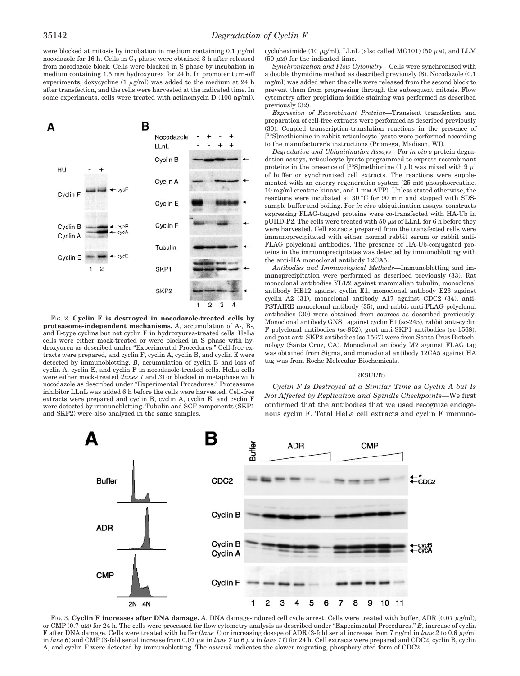were blocked at mitosis by incubation in medium containing  $0.1 \mu g/ml$ nocodazole for 16 h. Cells in  $G_1$  phase were obtained 3 h after released from nocodazole block. Cells were blocked in S phase by incubation in medium containing 1.5 mM hydroxyurea for 24 h. In promoter turn-off experiments, doxycycline  $(1 \mu g/ml)$  was added to the medium at 24 h after transfection, and the cells were harvested at the indicated time. In some experiments, cells were treated with actinomycin D (100 ng/ml),



FIG. 2. **Cyclin F is destroyed in nocodazole-treated cells by proteasome-independent mechanisms.** *A*, accumulation of A-, B-, and E-type cyclins but not cyclin F in hydroxyurea-treated cells. HeLa cells were either mock-treated or were blocked in S phase with hydroxyurea as described under "Experimental Procedures." Cell-free extracts were prepared, and cyclin F, cyclin A, cyclin B, and cyclin E were detected by immunoblotting. *B*, accumulation of cyclin B and loss of cyclin A, cyclin E, and cyclin F in nocodazole-treated cells. HeLa cells were either mock-treated (*lanes 1* and *3*) or blocked in metaphase with nocodazole as described under "Experimental Procedures." Proteasome inhibitor LLnL was added 6 h before the cells were harvested. Cell-free extracts were prepared and cyclin B, cyclin A, cyclin E, and cyclin F were detected by immunoblotting. Tubulin and SCF components (SKP1 and SKP2) were also analyzed in the same samples.

cycloheximide (10  $\mu$ g/ml), LLnL (also called MG101) (50  $\mu$ M), and LLM (50  $\mu$ M) for the indicated time.

*Synchronization and Flow Cytometry—*Cells were synchronized with a double thymidine method as described previously (8). Nocodazole (0.1 mg/ml) was added when the cells were released from the second block to prevent them from progressing through the subsequent mitosis. Flow cytometry after propidium iodide staining was performed as described previously (32).

*Expression of Recombinant Proteins—*Transient transfection and preparation of cell-free extracts were performed as described previously (30). Coupled transcription-translation reactions in the presence of [<sup>35</sup>S]methionine in rabbit reticulocyte lysate were performed according to the manufacturer's instructions (Promega, Madison, WI).

*Degradation and Ubiquitination Assays—*For *in vitro* protein degradation assays, reticulocyte lysate programmed to express recombinant proteins in the presence of  $[^{35}S]$ methionine (1  $\mu$ l) was mixed with 9  $\mu$ l of buffer or synchronized cell extracts. The reactions were supplemented with an energy regeneration system (25 mM phosphocreatine, 10 mg/ml creatine kinase, and 1 mM ATP). Unless stated otherwise, the reactions were incubated at 30 °C for 90 min and stopped with SDSsample buffer and boiling. For *in vivo* ubiquitination assays, constructs expressing FLAG-tagged proteins were co-transfected with HA-Ub in pUHD-P2. The cells were treated with 50  $\mu$ M of LLnL for 6 h before they were harvested. Cell extracts prepared from the transfected cells were immunoprecipitated with either normal rabbit serum or rabbit anti-FLAG polyclonal antibodies. The presence of HA-Ub-conjugated proteins in the immunoprecipitates was detected by immunoblotting with the anti-HA monoclonal antibody 12CA5.

*Antibodies and Immunological Methods—*Immunoblotting and immunoprecipitation were performed as described previously (33). Rat monoclonal antibodies YL1/2 against mammalian tubulin, monoclonal antibody HE12 against cyclin E1, monoclonal antibody E23 against cyclin A2 (31), monoclonal antibody A17 against CDC2 (34), anti-PSTAIRE monoclonal antibody (35), and rabbit anti-FLAG polyclonal antibodies (30) were obtained from sources as described previously. Monoclonal antibody GNS1 against cyclin B1 (sc-245), rabbit anti-cyclin F polyclonal antibodies (sc-952), goat anti-SKP1 antibodies (sc-1568), and goat anti-SKP2 antibodies (sc-1567) were from Santa Cruz Biotechnology (Santa Cruz, CA). Monoclonal antibody M2 against FLAG tag was obtained from Sigma, and monoclonal antibody 12CA5 against HA tag was from Roche Molecular Biochemicals.

### RESULTS

*Cyclin F Is Destroyed at a Similar Time as Cyclin A but Is Not Affected by Replication and Spindle Checkpoints—*We first confirmed that the antibodies that we used recognize endogenous cyclin F. Total HeLa cell extracts and cyclin F immuno-



FIG. 3. Cyclin F increases after DNA damage. *A*, DNA damage-induced cell cycle arrest. Cells were treated with buffer, ADR (0.07  $\mu$ g/ml), or CMP  $(0.7 \mu M)$  for 24 h. The cells were processed for flow cytometry analysis as described under "Experimental Procedures." *B*, increase of cyclin F after DNA damage. Cells were treated with buffer (*lane 1*) or increasing dosage of ADR (3-fold serial increase from 7 ng/ml in *lane 2* to 0.6  $\mu$ g/ml in *lane* 6) and CMP (3-fold serial increase from 0.07  $\mu$ M in *lane* 7 to 6  $\mu$ M in *lane 11*) for 24 h. Cell extracts were prepared and CDC2, cyclin B, cyclin A, and cyclin F were detected by immunoblotting. The *asterisk* indicates the slower migrating, phosphorylated form of CDC2.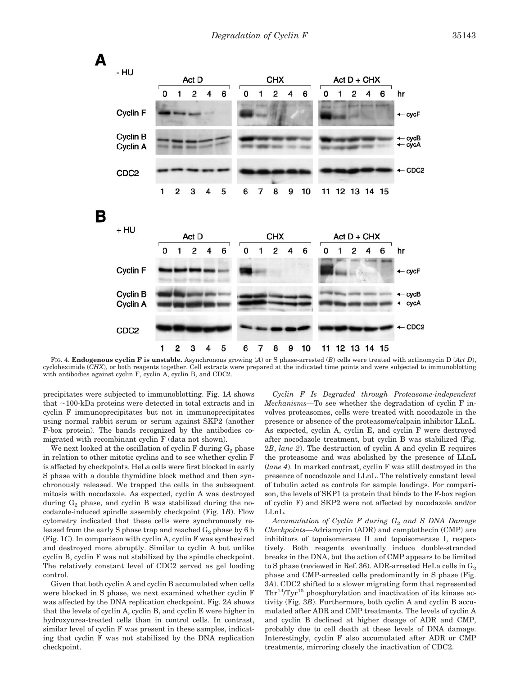

FIG. 4. **Endogenous cyclin F is unstable.** Asynchronous growing (*A*) or S phase-arrested (*B*) cells were treated with actinomycin D (*Act D*), cycloheximide (*CHX*), or both reagents together. Cell extracts were prepared at the indicated time points and were subjected to immunoblotting with antibodies against cyclin F, cyclin A, cyclin B, and CDC2.

precipitates were subjected to immunoblotting. Fig. 1*A* shows that  $\sim$ 100-kDa proteins were detected in total extracts and in cyclin F immunoprecipitates but not in immunoprecipitates using normal rabbit serum or serum against SKP2 (another F-box protein). The bands recognized by the antibodies comigrated with recombinant cyclin F (data not shown).

We next looked at the oscillation of cyclin  $F$  during  $G_2$  phase in relation to other mitotic cyclins and to see whether cyclin F is affected by checkpoints. HeLa cells were first blocked in early S phase with a double thymidine block method and then synchronously released. We trapped the cells in the subsequent mitosis with nocodazole. As expected, cyclin A was destroyed during  $G_2$  phase, and cyclin B was stabilized during the nocodazole-induced spindle assembly checkpoint (Fig. 1*B*). Flow cytometry indicated that these cells were synchronously released from the early S phase trap and reached  $G_2$  phase by 6 h (Fig. 1*C*). In comparison with cyclin A, cyclin F was synthesized and destroyed more abruptly. Similar to cyclin A but unlike cyclin B, cyclin F was not stabilized by the spindle checkpoint. The relatively constant level of CDC2 served as gel loading control.

Given that both cyclin A and cyclin B accumulated when cells were blocked in S phase, we next examined whether cyclin F was affected by the DNA replication checkpoint. Fig. 2*A* shows that the levels of cyclin A, cyclin B, and cyclin E were higher in hydroxyurea-treated cells than in control cells. In contrast, similar level of cyclin F was present in these samples, indicating that cyclin F was not stabilized by the DNA replication checkpoint.

*Cyclin F Is Degraded through Proteasome-independent Mechanisms—*To see whether the degradation of cyclin F involves proteasomes, cells were treated with nocodazole in the presence or absence of the proteasome/calpain inhibitor LLnL. As expected, cyclin A, cyclin E, and cyclin F were destroyed after nocodazole treatment, but cyclin B was stabilized (Fig. 2*B*, *lane 2*). The destruction of cyclin A and cyclin E requires the proteasome and was abolished by the presence of LLnL (*lane 4*). In marked contrast, cyclin F was still destroyed in the presence of nocodazole and LLnL. The relatively constant level of tubulin acted as controls for sample loadings. For comparison, the levels of SKP1 (a protein that binds to the F-box region of cyclin F) and SKP2 were not affected by nocodazole and/or LLnL.

Accumulation of Cyclin F during G<sub>2</sub> and S DNA Damage *Checkpoints—*Adriamycin (ADR) and camptothecin (CMP) are inhibitors of topoisomerase II and topoisomerase I, respectively. Both reagents eventually induce double-stranded breaks in the DNA, but the action of CMP appears to be limited to S phase (reviewed in Ref. 36). ADR-arrested HeLa cells in  $G_2$ phase and CMP-arrested cells predominantly in S phase (Fig. 3*A*). CDC2 shifted to a slower migrating form that represented  $\text{Thr}^{14}/\text{Try}^{15}$  phosphorylation and inactivation of its kinase activity (Fig. 3*B*). Furthermore, both cyclin A and cyclin B accumulated after ADR and CMP treatments. The levels of cyclin A and cyclin B declined at higher dosage of ADR and CMP, probably due to cell death at these levels of DNA damage. Interestingly, cyclin F also accumulated after ADR or CMP treatments, mirroring closely the inactivation of CDC2.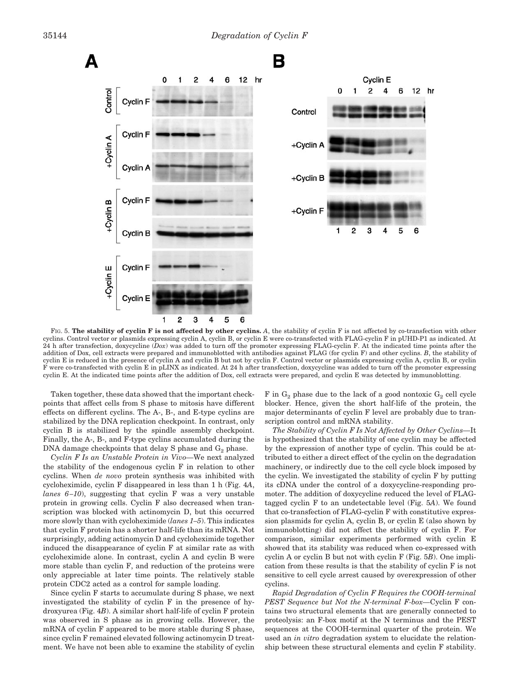

FIG. 5. **The stability of cyclin F is not affected by other cyclins.** *A*, the stability of cyclin F is not affected by co-transfection with other cyclins. Control vector or plasmids expressing cyclin A, cyclin B, or cyclin E were co-transfected with FLAG-cyclin F in pUHD-P1 as indicated. At 24 h after transfection, doxycycline (*Dox*) was added to turn off the promoter expressing FLAG-cyclin F. At the indicated time points after the addition of Dox, cell extracts were prepared and immunoblotted with antibodies against FLAG (for cyclin F) and other cyclins. *B*, the stability of cyclin E is reduced in the presence of cyclin A and cyclin B but not by cyclin F. Control vector or plasmids expressing cyclin A, cyclin B, or cyclin F were co-transfected with cyclin E in pLINX as indicated. At 24 h after transfection, doxycycline was added to turn off the promoter expressing cyclin E. At the indicated time points after the addition of Dox, cell extracts were prepared, and cyclin E was detected by immunoblotting.

Taken together, these data showed that the important checkpoints that affect cells from S phase to mitosis have different effects on different cyclins. The A-, B-, and E-type cyclins are stabilized by the DNA replication checkpoint. In contrast, only cyclin B is stabilized by the spindle assembly checkpoint. Finally, the A-, B-, and F-type cyclins accumulated during the DNA damage checkpoints that delay S phase and  $G_2$  phase.

*Cyclin F Is an Unstable Protein in Vivo—*We next analyzed the stability of the endogenous cyclin F in relation to other cyclins. When *de novo* protein synthesis was inhibited with cycloheximide, cyclin F disappeared in less than 1 h (Fig. 4*A*, *lanes 6–10*), suggesting that cyclin F was a very unstable protein in growing cells. Cyclin F also decreased when transcription was blocked with actinomycin D, but this occurred more slowly than with cycloheximide (*lanes 1–5*). This indicates that cyclin F protein has a shorter half-life than its mRNA. Not surprisingly, adding actinomycin D and cycloheximide together induced the disappearance of cyclin F at similar rate as with cycloheximide alone. In contrast, cyclin A and cyclin B were more stable than cyclin F, and reduction of the proteins were only appreciable at later time points. The relatively stable protein CDC2 acted as a control for sample loading.

Since cyclin F starts to accumulate during S phase, we next investigated the stability of cyclin F in the presence of hydroxyurea (Fig. 4*B*). A similar short half-life of cyclin F protein was observed in S phase as in growing cells. However, the mRNA of cyclin F appeared to be more stable during S phase, since cyclin F remained elevated following actinomycin D treatment. We have not been able to examine the stability of cyclin F in  $G_2$  phase due to the lack of a good nontoxic  $G_2$  cell cycle blocker. Hence, given the short half-life of the protein, the major determinants of cyclin F level are probably due to transcription control and mRNA stability.

*The Stability of Cyclin F Is Not Affected by Other Cyclins—*It is hypothesized that the stability of one cyclin may be affected by the expression of another type of cyclin. This could be attributed to either a direct effect of the cyclin on the degradation machinery, or indirectly due to the cell cycle block imposed by the cyclin. We investigated the stability of cyclin F by putting its cDNA under the control of a doxycycline-responding promoter. The addition of doxycycline reduced the level of FLAGtagged cyclin F to an undetectable level (Fig. 5*A*). We found that co-transfection of FLAG-cyclin F with constitutive expression plasmids for cyclin A, cyclin B, or cyclin E (also shown by immunoblotting) did not affect the stability of cyclin F. For comparison, similar experiments performed with cyclin E showed that its stability was reduced when co-expressed with cyclin A or cyclin B but not with cyclin F (Fig. 5*B*). One implication from these results is that the stability of cyclin F is not sensitive to cell cycle arrest caused by overexpression of other cyclins.

*Rapid Degradation of Cyclin F Requires the COOH-terminal PEST Sequence but Not the N-terminal F-box—*Cyclin F contains two structural elements that are generally connected to proteolysis: an F-box motif at the N terminus and the PEST sequences at the COOH-terminal quarter of the protein. We used an *in vitro* degradation system to elucidate the relationship between these structural elements and cyclin F stability.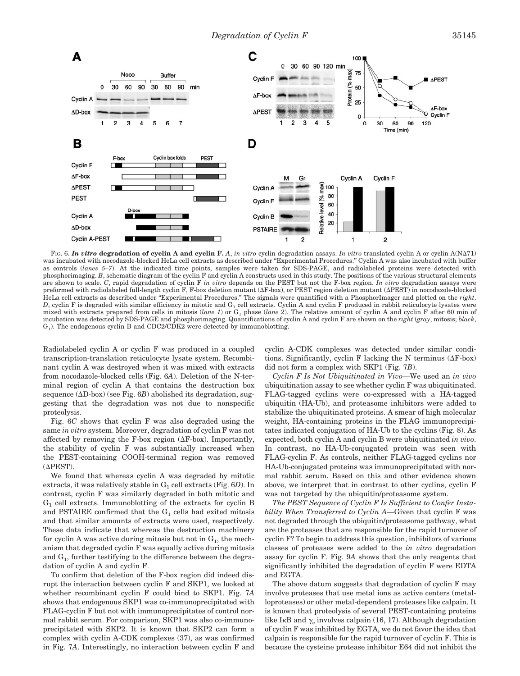

FIG. 6. In vitro degradation of cyclin A and cyclin F. A, in vitro cyclin degradation assays. In vitro translated cyclin A or cyclin A(NA71) was incubated with nocodazole-blocked HeLa cell extracts as described under "Experimental Procedures." Cyclin A was also incubated with buffer as controls (*lanes 5–7*). At the indicated time points, samples were taken for SDS-PAGE, and radiolabeled proteins were detected with phosphorimaging. *B*, schematic diagram of the cyclin F and cyclin A constructs used in this study. The positions of the various structural elements are shown to scale. *C*, rapid degradation of cyclin F *in vitro* depends on the PEST but not the F-box region. *In vitro* degradation assays were preformed with radiolabeled full-length cyclin F, F-box deletion mutant ( $\Delta$ F-box), or PEST region deletion mutant ( $\Delta$ PEST) in nocodazole-blocked HeLa cell extracts as described under "Experimental Procedures." The signals were quantified with a PhosphorImager and plotted on the *right*. *D*, cyclin F is degraded with similar efficiency in mitotic and  $G_1$  cell extracts. Cyclin A and cyclin F produced in rabbit reticulocyte lysates were mixed with extracts prepared from cells in mitosis (*lane 1*) or  $G_1$  phase (*lane 2*). The relative amount of cyclin A and cyclin F after 60 min of incubation was detected by SDS-PAGE and phosphorimaging. Quantifications of cyclin A and cyclin F are shown on the *right* (*gray*, mitosis; *black*, G1). The endogenous cyclin B and CDC2/CDK2 were detected by immunoblotting.

Radiolabeled cyclin A or cyclin F was produced in a coupled transcription-translation reticulocyte lysate system. Recombinant cyclin A was destroyed when it was mixed with extracts from nocodazole-blocked cells (Fig. 6*A*). Deletion of the N-terminal region of cyclin A that contains the destruction box sequence  $(\Delta D$ -box) (see Fig.  $6B$ ) abolished its degradation, suggesting that the degradation was not due to nonspecific proteolysis.

Fig. 6*C* shows that cyclin F was also degraded using the same *in vitro* system. Moreover, degradation of cyclin F was not affected by removing the F-box region  $(\Delta F$ -box). Importantly, the stability of cyclin F was substantially increased when the PEST-containing COOH-terminal region was removed  $(\Delta$ PEST).

We found that whereas cyclin A was degraded by mitotic extracts, it was relatively stable in  $G_1$  cell extracts (Fig.  $6D$ ). In contrast, cyclin F was similarly degraded in both mitotic and  $G_1$  cell extracts. Immunoblotting of the extracts for cyclin B and PSTAIRE confirmed that the  $G_1$  cells had exited mitosis and that similar amounts of extracts were used, respectively. These data indicate that whereas the destruction machinery for cyclin A was active during mitosis but not in  $G<sub>1</sub>$ , the mechanism that degraded cyclin F was equally active during mitosis and  $G_1$ , further testifying to the difference between the degradation of cyclin A and cyclin F.

To confirm that deletion of the F-box region did indeed disrupt the interaction between cyclin F and SKP1, we looked at whether recombinant cyclin F could bind to SKP1. Fig. 7*A* shows that endogenous SKP1 was co-immunoprecipitated with FLAG-cyclin F but not with immunoprecipitates of control normal rabbit serum. For comparison, SKP1 was also co-immunoprecipitated with SKP2. It is known that SKP2 can form a complex with cyclin A-CDK complexes (37), as was confirmed in Fig. 7*A*. Interestingly, no interaction between cyclin F and cyclin A-CDK complexes was detected under similar conditions. Significantly, cyclin F lacking the N terminus  $(\Delta F$ -box) did not form a complex with SKP1 (Fig. 7*B*).

*Cyclin F Is Not Ubiquitinated in Vivo—*We used an *in vivo* ubiquitination assay to see whether cyclin F was ubiquitinated. FLAG-tagged cyclins were co-expressed with a HA-tagged ubiquitin (HA-Ub), and proteasome inhibitors were added to stabilize the ubiquitinated proteins. A smear of high molecular weight, HA-containing proteins in the FLAG immunoprecipitates indicated conjugation of HA-Ub to the cyclins (Fig. 8). As expected, both cyclin A and cyclin B were ubiquitinated *in vivo*. In contrast, no HA-Ub-conjugated protein was seen with FLAG-cyclin F. As controls, neither FLAG-tagged cyclins nor HA-Ub-conjugated proteins was immunoprecipitated with normal rabbit serum. Based on this and other evidence shown above, we interpret that in contrast to other cyclins, cyclin F was not targeted by the ubiquitin/proteasome system.

*The PEST Sequence of Cyclin F Is Sufficient to Confer Instability When Transferred to Cyclin A—*Given that cyclin F was not degraded through the ubiquitin/proteasome pathway, what are the proteases that are responsible for the rapid turnover of cyclin F? To begin to address this question, inhibitors of various classes of proteases were added to the *in vitro* degradation assay for cyclin F. Fig. 9*A* shows that the only reagents that significantly inhibited the degradation of cyclin F were EDTA and EGTA.

The above datum suggests that degradation of cyclin F may involve proteases that use metal ions as active centers (metalloproteases) or other metal-dependent proteases like calpain. It is known that proteolysis of several PEST-containing proteins like I $\kappa$ B and  $\gamma_{\rm c}$  involves calpain (16, 17). Although degradation of cyclin F was inhibited by EGTA, we do not favor the idea that calpain is responsible for the rapid turnover of cyclin F. This is because the cysteine protease inhibitor E64 did not inhibit the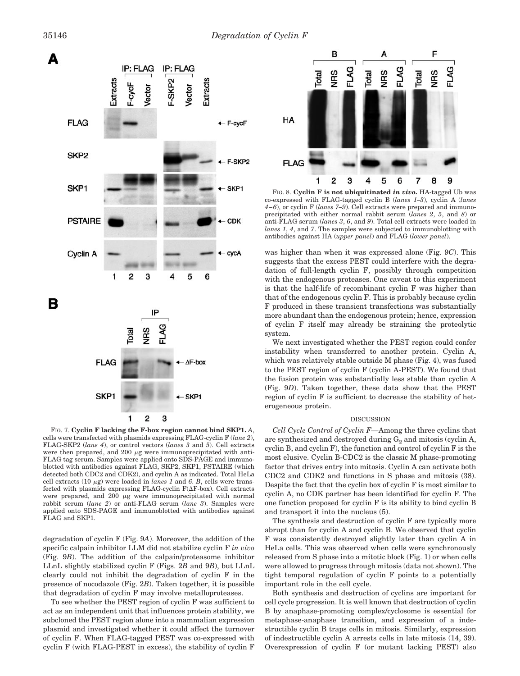

FIG. 7. **Cyclin F lacking the F-box region cannot bind SKP1.** *A*, cells were transfected with plasmids expressing FLAG-cyclin F (*lane 2*), FLAG-SKP2 (*lane 4*), or control vectors (*lanes 3* and *5*). Cell extracts were then prepared, and 200  $\mu$ g were immunoprecipitated with anti-FLAG tag serum. Samples were applied onto SDS-PAGE and immunoblotted with antibodies against FLAG, SKP2, SKP1, PSTAIRE (which detected both CDC2 and CDK2), and cyclin A as indicated. Total HeLa cell extracts (10  $\mu$ g) were loaded in *lanes 1* and 6. *B*, cells were transfected with plasmids expressing FLAG-cyclin  $F(\Delta F$ -box). Cell extracts were prepared, and 200  $\mu$ g were immunoprecipitated with normal rabbit serum (*lane 2*) or anti-FLAG serum (*lane 3*). Samples were applied onto SDS-PAGE and immunoblotted with antibodies against FLAG and SKP1.

degradation of cyclin F (Fig. 9*A*). Moreover, the addition of the specific calpain inhibitor LLM did not stabilize cyclin F *in vivo* (Fig. 9*B*). The addition of the calpain/proteasome inhibitor LLnL slightly stabilized cyclin F (Figs. 2*B* and 9*B*), but LLnL clearly could not inhibit the degradation of cyclin F in the presence of nocodazole (Fig. 2*B*). Taken together, it is possible that degradation of cyclin F may involve metalloproteases.

To see whether the PEST region of cyclin F was sufficient to act as an independent unit that influences protein stability, we subcloned the PEST region alone into a mammalian expression plasmid and investigated whether it could affect the turnover of cyclin F. When FLAG-tagged PEST was co-expressed with cyclin F (with FLAG-PEST in excess), the stability of cyclin F



FIG. 8. **Cyclin F is not ubiquitinated** *in vivo***.** HA-tagged Ub was co-expressed with FLAG-tagged cyclin B (*lanes 1–3*), cyclin A (*lanes 4–6*), or cyclin F (*lanes 7–9*). Cell extracts were prepared and immunoprecipitated with either normal rabbit serum (*lanes 2*, *5*, and *8*) or anti-FLAG serum (*lanes 3*, *6*, and *9*). Total cell extracts were loaded in *lanes 1*, *4*, and *7*. The samples were subjected to immunoblotting with antibodies against HA (*upper panel*) and FLAG (*lower panel*).

was higher than when it was expressed alone (Fig. 9*C*). This suggests that the excess PEST could interfere with the degradation of full-length cyclin F, possibly through competition with the endogenous proteases. One caveat to this experiment is that the half-life of recombinant cyclin F was higher than that of the endogenous cyclin F. This is probably because cyclin F produced in these transient transfections was substantially more abundant than the endogenous protein; hence, expression of cyclin F itself may already be straining the proteolytic system.

We next investigated whether the PEST region could confer instability when transferred to another protein. Cyclin A, which was relatively stable outside M phase (Fig. 4), was fused to the PEST region of cyclin F (cyclin A-PEST). We found that the fusion protein was substantially less stable than cyclin A (Fig. 9*D*). Taken together, these data show that the PEST region of cyclin F is sufficient to decrease the stability of heterogeneous protein.

### DISCUSSION

*Cell Cycle Control of Cyclin F—*Among the three cyclins that are synthesized and destroyed during  $G_2$  and mitosis (cyclin A, cyclin B, and cyclin F), the function and control of cyclin F is the most elusive. Cyclin B-CDC2 is the classic M phase-promoting factor that drives entry into mitosis. Cyclin A can activate both CDC2 and CDK2 and functions in S phase and mitosis (38). Despite the fact that the cyclin box of cyclin F is most similar to cyclin A, no CDK partner has been identified for cyclin F. The one function proposed for cyclin F is its ability to bind cyclin B and transport it into the nucleus (5).

The synthesis and destruction of cyclin F are typically more abrupt than for cyclin A and cyclin B. We observed that cyclin F was consistently destroyed slightly later than cyclin A in HeLa cells. This was observed when cells were synchronously released from S phase into a mitotic block (Fig. 1) or when cells were allowed to progress through mitosis (data not shown). The tight temporal regulation of cyclin F points to a potentially important role in the cell cycle.

Both synthesis and destruction of cyclins are important for cell cycle progression. It is well known that destruction of cyclin B by anaphase-promoting complex/cyclosome is essential for metaphase-anaphase transition, and expression of a indestructible cyclin B traps cells in mitosis. Similarly, expression of indestructible cyclin A arrests cells in late mitosis (14, 39). Overexpression of cyclin F (or mutant lacking PEST) also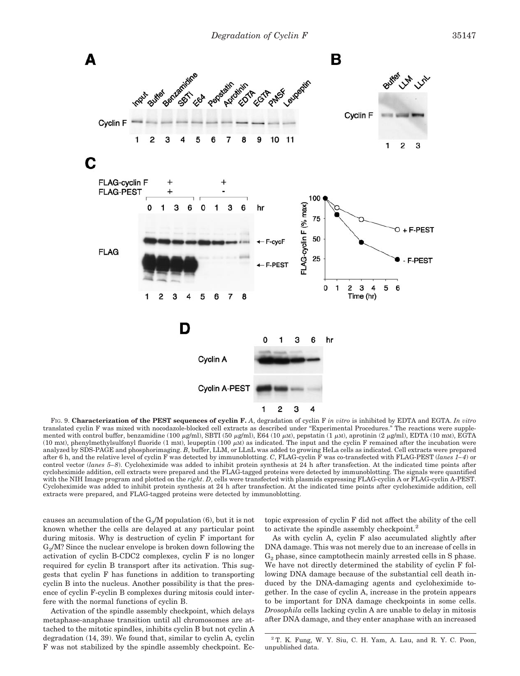

FIG. 9. **Characterization of the PEST sequences of cyclin F.** *A*, degradation of cyclin F *in vitro* is inhibited by EDTA and EGTA. *In vitro* translated cyclin F was mixed with nocodazole-blocked cell extracts as described under "Experimental Procedures." The reactions were supplemented with control buffer, benzamidine (100  $\mu$ g/ml), SBTI (50  $\mu$ g/ml), E64 (10  $\mu$ M), pepstatin (1  $\mu$ M), aprotinin (2  $\mu$ g/ml), EDTA (10 mM), EGTA (10 mM), phenylmethylsulfonyl fluoride (1 mM), leupeptin (100  $\mu$ M) as indicated. The input and the cyclin F remained after the incubation were analyzed by SDS-PAGE and phosphorimaging. *B*, buffer, LLM, or LLnL was added to growing HeLa cells as indicated. Cell extracts were prepared after 6 h, and the relative level of cyclin F was detected by immunoblotting. *C*, FLAG-cyclin F was co-transfected with FLAG-PEST (*lanes 1–4*) or control vector (*lanes 5–8*). Cycloheximide was added to inhibit protein synthesis at 24 h after transfection. At the indicated time points after cycloheximide addition, cell extracts were prepared and the FLAG-tagged proteins were detected by immunoblotting. The signals were quantified with the NIH Image program and plotted on the *right*. *D*, cells were transfected with plasmids expressing FLAG-cyclin A or FLAG-cyclin A-PEST. Cycloheximide was added to inhibit protein synthesis at 24 h after transfection. At the indicated time points after cycloheximide addition, cell extracts were prepared, and FLAG-tagged proteins were detected by immunoblotting.

causes an accumulation of the  $G_2/M$  population (6), but it is not known whether the cells are delayed at any particular point during mitosis. Why is destruction of cyclin F important for  $G_2/M$ ? Since the nuclear envelope is broken down following the activation of cyclin B-CDC2 complexes, cyclin F is no longer required for cyclin B transport after its activation. This suggests that cyclin F has functions in addition to transporting cyclin B into the nucleus. Another possibility is that the presence of cyclin F-cyclin B complexes during mitosis could interfere with the normal functions of cyclin B.

Activation of the spindle assembly checkpoint, which delays metaphase-anaphase transition until all chromosomes are attached to the mitotic spindles, inhibits cyclin B but not cyclin A degradation (14, 39). We found that, similar to cyclin A, cyclin F was not stabilized by the spindle assembly checkpoint. Ectopic expression of cyclin F did not affect the ability of the cell to activate the spindle assembly checkpoint.<sup>2</sup>

As with cyclin A, cyclin F also accumulated slightly after DNA damage. This was not merely due to an increase of cells in  $G<sub>2</sub>$  phase, since camptothecin mainly arrested cells in S phase. We have not directly determined the stability of cyclin F following DNA damage because of the substantial cell death induced by the DNA-damaging agents and cycloheximide together. In the case of cyclin A, increase in the protein appears to be important for DNA damage checkpoints in some cells. *Drosophila* cells lacking cyclin A are unable to delay in mitosis after DNA damage, and they enter anaphase with an increased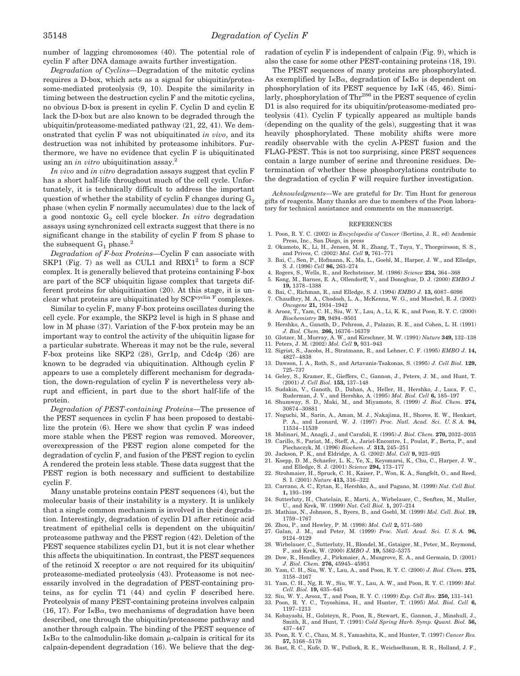number of lagging chromosomes (40). The potential role of cyclin F after DNA damage awaits further investigation.

*Degradation of Cyclins—*Degradation of the mitotic cyclins requires a D-box, which acts as a signal for ubiquitin/proteasome-mediated proteolysis (9, 10). Despite the similarity in timing between the destruction cyclin F and the mitotic cyclins, no obvious D-box is present in cyclin F. Cyclin D and cyclin E lack the D-box but are also known to be degraded through the ubiquitin/proteasome-mediated pathway (21, 22, 41). We demonstrated that cyclin F was not ubiquitinated *in vivo*, and its destruction was not inhibited by proteasome inhibitors. Furthermore, we have no evidence that cyclin F is ubiquitinated using an *in vitro* ubiquitination assay.2

*In vivo* and *in vitro* degradation assays suggest that cyclin F has a short half-life throughout much of the cell cycle. Unfortunately, it is technically difficult to address the important question of whether the stability of cyclin F changes during  $G_2$ phase (when cyclin F normally accumulates) due to the lack of a good nontoxic  $G_2$  cell cycle blocker. *In vitro* degradation assays using synchronized cell extracts suggest that there is no significant change in the stability of cyclin F from S phase to the subsequent  $G_1$  phase.<sup>2</sup>

*Degradation of F-box Proteins—*Cyclin F can associate with SKP1 (Fig. 7) as well as CUL1 and  $RBX1<sup>2</sup>$  to form a SCF complex. It is generally believed that proteins containing F-box are part of the SCF ubiquitin ligase complex that targets different proteins for ubiquitination (20). At this stage, it is unclear what proteins are ubiquitinated by  $SCF<sup>cyclic</sup>$  F complexes.

Similar to cyclin F, many F-box proteins oscillates during the cell cycle. For example, the SKP2 level is high in S phase and low in M phase (37). Variation of the F-box protein may be an important way to control the activity of the ubiquitin ligase for a particular substrate. Whereas it may not be the rule, several F-box proteins like SKP2 (28), Grr1p, and Cdc4p (26) are known to be degraded via ubiquitination. Although cyclin F appears to use a completely different mechanism for degradation, the down-regulation of cyclin F is nevertheless very abrupt and efficient, in part due to the short half-life of the protein.

*Degradation of PEST-containing Proteins—*The presence of the PEST sequences in cyclin F has been proposed to destabilize the protein (6). Here we show that cyclin F was indeed more stable when the PEST region was removed. Moreover, overexpression of the PEST region alone competed for the degradation of cyclin F, and fusion of the PEST region to cyclin A rendered the protein less stable. These data suggest that the PEST region is both necessary and sufficient to destabilize cyclin F.

Many unstable proteins contain PEST sequences (4), but the molecular basis of their instability is a mystery. It is unlikely that a single common mechanism is involved in their degradation. Interestingly, degradation of cyclin D1 after retinoic acid treatment of epithelial cells is dependent on the ubiquitin/ proteasome pathway and the PEST region (42). Deletion of the PEST sequence stabilizes cyclin D1, but it is not clear whether this affects the ubiquitination. In contrast, the PEST sequences of the retinoid X receptor  $\alpha$  are not required for its ubiquitin/ proteasome-mediated proteolysis (43). Proteasome is not necessarily involved in the degradation of PEST-containing proteins, as for cyclin T1 (44) and cyclin F described here. Proteolysis of many PEST-containing proteins involves calpain  $(16, 17)$ . For I<sub>K</sub>B $\alpha$ , two mechanisms of degradation have been described, one through the ubiquitin/proteasome pathway and another through calpain. The binding of the PEST sequence of  $I_{\kappa}B_{\alpha}$  to the calmodulin-like domain  $\mu$ -calpain is critical for its calpain-dependent degradation (16). We believe that the degradation of cyclin F is independent of calpain (Fig. 9), which is also the case for some other PEST-containing proteins (18, 19).

The PEST sequences of many proteins are phosphorylated. As exemplified by  $I \kappa B\alpha$ , degradation of  $I \kappa B\alpha$  is dependent on phosphorylation of its PEST sequence by  $I_KK$  (45, 46). Similarly, phosphorylation of Thr<sup>286</sup> in the PEST sequence of cyclin D1 is also required for its ubiquitin/proteasome-mediated proteolysis (41). Cyclin F typically appeared as multiple bands (depending on the quality of the gels), suggesting that it was heavily phosphorylated. These mobility shifts were more readily observable with the cyclin A-PEST fusion and the FLAG-PEST. This is not too surprising, since PEST sequences contain a large number of serine and threonine residues. Determination of whether these phosphorylations contribute to the degradation of cyclin F will require further investigation.

*Acknowledgments—*We are grateful for Dr. Tim Hunt for generous gifts of reagents. Many thanks are due to members of the Poon laboratory for technical assistance and comments on the manuscript.

#### REFERENCES

- 1. Poon, R. Y. C. (2002) in *Encyclopedia of Cancer* (Bertino, J. R., ed) Academic Press, Inc., San Diego, in press
- 2. Okamoto, K., Li, H., Jensen, M. R., Zhang, T., Taya, Y., Thorgeirsson, S. S., and Prives, C. (2002) *Mol. Cell* **9,** 761–771 3. Bai, C., Sen, P., Hofmann, K., Ma, L., Goebl, M., Harper, J. W., and Elledge,
- S. J. (1996) *Cell* **86,** 263–274
- 4. Rogers, S., Wells, R., and Rechsteiner, M. (1986) *Science* **234,** 364–368
- 5. Kong, M., Barnes, E. A., Ollendorff, V., and Donoghue, D. J. (2000) *EMBO J.* **19,** 1378–1388
- 6. Bai, C., Richman, R., and Elledge, S. J. (1994) *EMBO J.* **13,** 6087–6098
- 7. Chaudhry, M. A., Chodosh, L. A., McKenna, W. G., and Muschel, R. J. (2002) *Oncogene* **21,** 1934–1942
- 8. Arooz, T., Yam, C. H., Siu, W. Y., Lau, A., Li, K. K., and Poon, R. Y. C. (2000) *Biochemistry* **39,** 9494–9501
- 9. Hershko, A., Ganoth, D., Pehrson, J., Palazzo, R. E., and Cohen, L. H. (1991) *J. Biol. Chem.* **266,** 16376–16379
- 10. Glotzer, M., Murray, A. W., and Kirschner, M. W. (1991) *Nature* **349,** 132–138
- 11. Peters, J. M. (2002) *Mol. Cell* **9,** 931–943 12. Sigrist, S., Jacobs, H., Stratmann, R., and Lehner, C. F. (1995) *EMBO J.* **14,**
- 4827–4838 13. Dawson, I. A., Roth, S., and Artavanis-Tsakonas, S. (1995) *J. Cell Biol.* **129,** 725–737
- 14. Geley, S., Kramer, E., Gieffers, C., Gannon, J., Peters, J. M., and Hunt, T. (2001) *J. Cell Biol.* **153,** 137–148
- 15. Sudakin, V., Ganoth, D., Dahan, A., Heller, H., Hershko, J., Luca, F. C., Ruderman, J. V., and Hershko, A. (1995) *Mol. Biol. Cell* **6,** 185–197
- 16. Shumway, S. D., Maki, M., and Miyamoto, S. (1999) *J. Biol. Chem.* **274,** 30874–30881
- 17. Noguchi, M., Sarin, A., Aman, M. J., Nakajima, H., Shores, E. W., Henkart, P. A., and Leonard, W. J. (1997) *Proc. Natl. Acad. Sci. U. S. A.* **94,** 11534–11539
- 18. Molinari, M., Anagli, J., and Carafoli, E. (1995) *J. Biol. Chem.* **270,** 2032–2035 19. Carillo, S., Pariat, M., Steff, A., Jariel-Encontre, I., Poulat, F., Berta, P., and Piechaczyk, M. (1996) *Biochem. J.* **313,** 245–251
- 20. Jackson, P. K., and Eldridge, A. G. (2002) *Mol. Cell* **9,** 923–925
- 21. Koepp, D. M., Schaefer, L. K., Ye, X., Keyomarsi, K., Chu, C., Harper, J. W., and Elledge, S. J. (2001) *Science* **294,** 173–177
- 22. Strohmaier, H., Spruck, C. H., Kaiser, P., Won, K. A., Sangfelt, O., and Reed, S. I. (2001) *Nature* **413,** 316–322
- 23. Carrano, A. C., Eytan, E., Hershko, A., and Pagano, M. (1999) *Nat. Cell Biol.* **1,** 193–199
- 24. Sutterluty, H., Chatelain, E., Marti, A., Wirbelauer, C., Senften, M., Muller, U., and Krek, W. (1999) *Nat. Cell Biol.* **1,** 207–214
- 25. Mathias, N., Johnson, S., Byers, B., and Goebl, M. (1999) *Mol. Cell. Biol.* **19,** 1759–1767
- 26. Zhou, P., and Howley, P. M. (1998) *Mol. Cell* **2,** 571–580
- 27. Galan, J. M., and Peter, M. (1999) *Proc. Natl. Acad. Sci. U. S. A.* **96,** 9124–9129
- 28. Wirbelauer, C., Sutterluty, H., Blondel, M., Gstaiger, M., Peter, M., Reymond, F., and Krek, W. (2000) *EMBO J.* **19,** 5362–5375
- 29. Dow, R., Hendley, J., Pirkmaier, A., Musgrove, E. A., and Germain, D. (2001) *J. Biol. Chem.* **276,** 45945–45951
- 30. Yam, C. H., Siu, W. Y., Lau, A., and Poon, R. Y. C. (2000) *J. Biol. Chem.* **275,** 3158–3167
- 31. Yam, C. H., Ng, R. W., Siu, W. Y., Lau, A. W., and Poon, R. Y. C. (1999) *Mol. Cell. Biol.* **19,** 635–645
- 32. Siu, W. Y., Arooz, T., and Poon, R. Y. C. (1999) *Exp. Cell Res.* **250,** 131–141 33. Poon, R. Y. C., Toyoshima, H., and Hunter, T. (1995) *Mol. Biol. Cell* **6,**
- 1197–1213 34. Kobayashi, H., Golsteyn, R., Poon, R., Stewart, E., Gannon, J., Minshull, J.,
- Smith, R., and Hunt, T. (1991) *Cold Spring Harb. Symp. Quant. Biol.* **56,** 437–447
- 35. Poon, R. Y. C., Chau, M. S., Yamashita, K., and Hunter, T. (1997) *Cancer Res.* **57,** 5168–5178
- 36. Bast, R. C., Kufe, D. W., Pollock, R. E., Weichselbaum, R. R., Holland, J. F.,